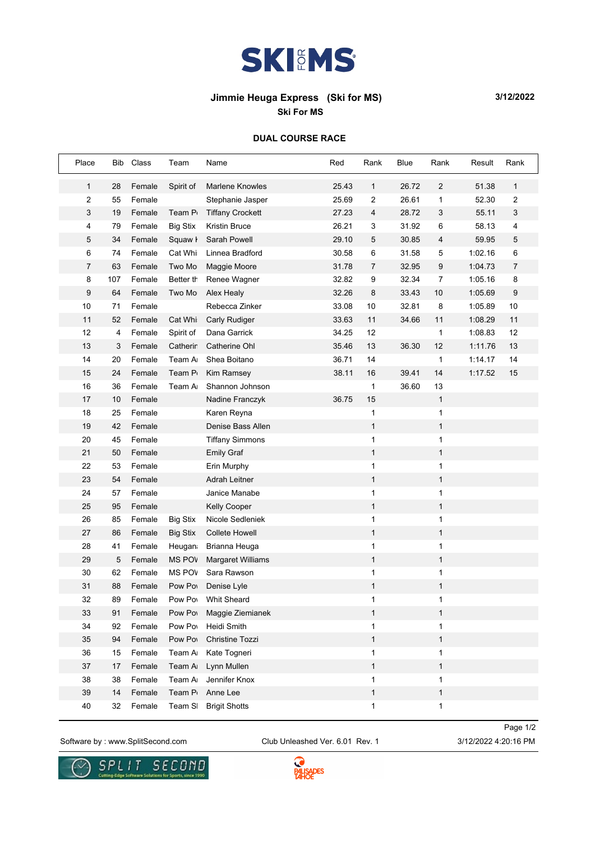

## **Jimmie Heuga Express (Ski for MS) 3/12/2022**

**Ski For MS**

## **DUAL COURSE RACE**

| Place          | Bib | Class  | Team            | Name                     | Red   | Rank           | Blue  | Rank           | Result  | Rank           |
|----------------|-----|--------|-----------------|--------------------------|-------|----------------|-------|----------------|---------|----------------|
| $\mathbf{1}$   | 28  | Female | Spirit of       | <b>Marlene Knowles</b>   | 25.43 | $\mathbf{1}$   | 26.72 | 2              | 51.38   | 1              |
| $\overline{c}$ | 55  | Female |                 | Stephanie Jasper         | 25.69 | $\overline{c}$ | 26.61 | $\mathbf{1}$   | 52.30   | $\sqrt{2}$     |
| 3              | 19  | Female | Team P          | <b>Tiffany Crockett</b>  | 27.23 | 4              | 28.72 | 3              | 55.11   | 3              |
| 4              | 79  | Female | <b>Big Stix</b> | Kristin Bruce            | 26.21 | 3              | 31.92 | 6              | 58.13   | $\overline{4}$ |
| 5              | 34  | Female | Squaw <i>I</i>  | Sarah Powell             | 29.10 | $\sqrt{5}$     | 30.85 | 4              | 59.95   | 5              |
| 6              | 74  | Female | Cat Whi         | Linnea Bradford          | 30.58 | 6              | 31.58 | 5              | 1:02.16 | 6              |
| 7              | 63  | Female | Two Mo          | Maggie Moore             | 31.78 | $\overline{7}$ | 32.95 | 9              | 1:04.73 | $\overline{7}$ |
| 8              | 107 | Female | Better th       | Renee Wagner             | 32.82 | 9              | 32.34 | $\overline{7}$ | 1:05.16 | 8              |
| 9              | 64  | Female | Two Mo          | Alex Healy               | 32.26 | 8              | 33.43 | 10             | 1:05.69 | 9              |
| 10             | 71  | Female |                 | Rebecca Zinker           | 33.08 | 10             | 32.81 | 8              | 1:05.89 | $10$           |
| 11             | 52  | Female | Cat Whi         | <b>Carly Rudiger</b>     | 33.63 | 11             | 34.66 | 11             | 1:08.29 | 11             |
| 12             | 4   | Female | Spirit of       | Dana Garrick             | 34.25 | 12             |       | $\mathbf{1}$   | 1:08.83 | 12             |
| 13             | 3   | Female | Catherin        | Catherine Ohl            | 35.46 | 13             | 36.30 | 12             | 1:11.76 | 13             |
| 14             | 20  | Female | Team Ar         | Shea Boitano             | 36.71 | 14             |       | $\mathbf{1}$   | 1:14.17 | 14             |
| 15             | 24  | Female | Team P          | Kim Ramsey               | 38.11 | 16             | 39.41 | 14             | 1:17.52 | 15             |
| 16             | 36  | Female | Team A          | Shannon Johnson          |       | $\mathbf{1}$   | 36.60 | 13             |         |                |
| 17             | 10  | Female |                 | Nadine Franczyk          | 36.75 | 15             |       | $\mathbf{1}$   |         |                |
| 18             | 25  | Female |                 | Karen Reyna              |       | 1              |       | 1              |         |                |
| 19             | 42  | Female |                 | Denise Bass Allen        |       | 1              |       | $\mathbf{1}$   |         |                |
| 20             | 45  | Female |                 | <b>Tiffany Simmons</b>   |       | $\mathbf{1}$   |       | $\mathbf{1}$   |         |                |
| 21             | 50  | Female |                 | <b>Emily Graf</b>        |       | $\mathbf{1}$   |       | $\mathbf{1}$   |         |                |
| 22             | 53  | Female |                 | Erin Murphy              |       | 1              |       | $\mathbf{1}$   |         |                |
| 23             | 54  | Female |                 | Adrah Leitner            |       | $\mathbf{1}$   |       | $\mathbf{1}$   |         |                |
| 24             | 57  | Female |                 | Janice Manabe            |       | $\mathbf{1}$   |       | $\mathbf{1}$   |         |                |
| 25             | 95  | Female |                 | <b>Kelly Cooper</b>      |       | $\mathbf{1}$   |       | $\mathbf{1}$   |         |                |
| 26             | 85  | Female | <b>Big Stix</b> | Nicole Sedleniek         |       | 1              |       | $\mathbf{1}$   |         |                |
| 27             | 86  | Female | <b>Big Stix</b> | <b>Collete Howell</b>    |       | $\mathbf{1}$   |       | $\mathbf{1}$   |         |                |
| 28             | 41  | Female | Heugan          | Brianna Heuga            |       | 1              |       | 1              |         |                |
| 29             | 5   | Female | <b>MS POV</b>   | <b>Margaret Williams</b> |       | $\mathbf{1}$   |       | $\mathbf{1}$   |         |                |
| 30             | 62  | Female | <b>MS POV</b>   | Sara Rawson              |       | 1              |       | 1              |         |                |
| 31             | 88  | Female | Pow Pow         | Denise Lyle              |       | $\mathbf{1}$   |       | $\mathbf{1}$   |         |                |
| 32             | 89  | Female | Pow Pow         | Whit Sheard              |       | 1              |       | 1              |         |                |
| 33             | 91  | Female | Pow Pow         | Maggie Ziemianek         |       | 1              |       | $\mathbf{1}$   |         |                |
| 34             | 92  | Female | Pow Pow         | Heidi Smith              |       | 1              |       | 1              |         |                |
| 35             | 94  | Female | Pow Pow         | Christine Tozzi          |       | $\mathbf{1}$   |       | $\mathbf{1}$   |         |                |
| 36             | 15  | Female | Team A          | Kate Togneri             |       | $\mathbf{1}$   |       | 1              |         |                |
| 37             | 17  | Female | Team A          | Lynn Mullen              |       | $\mathbf{1}$   |       | $\mathbf{1}$   |         |                |
| 38             | 38  | Female | Team A          | Jennifer Knox            |       | 1              |       | $\mathbf{1}$   |         |                |
| 39             | 14  | Female | Team P          | Anne Lee                 |       | $\mathbf{1}$   |       | $\mathbf{1}$   |         |                |
| 40             | 32  | Female | Team SI         | <b>Brigit Shotts</b>     |       | $\mathbf{1}$   |       | 1              |         |                |

Software by : www.SplitSecond.com Club Unleashed Ver. 6.01 Rev. 1 3/12/2022 4:20:16 PM

Page 1/2